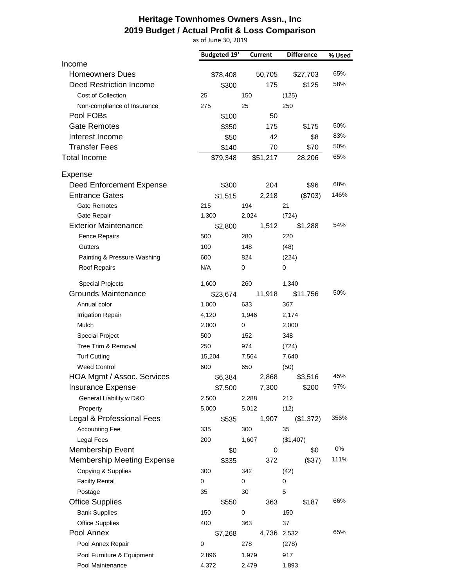## **Heritage Townhomes Owners Assn., Inc 2019 Budget / Actual Profit & Loss Comparison**

as of June 30, 2019

|                                   | <b>Budgeted 19'</b> |          | <b>Current</b> |          | <b>Difference</b> |           | % Used     |
|-----------------------------------|---------------------|----------|----------------|----------|-------------------|-----------|------------|
| Income                            |                     |          |                |          |                   |           |            |
| <b>Homeowners Dues</b>            |                     | \$78,408 |                | 50,705   |                   | \$27,703  |            |
| <b>Deed Restriction Income</b>    |                     | \$300    |                | 175      |                   | \$125     | 58%        |
| Cost of Collection                | 25                  |          | 150            |          | (125)             |           |            |
| Non-compliance of Insurance       | 275                 |          | 25             |          | 250               |           |            |
| Pool FOBs                         |                     | \$100    |                | 50       |                   |           |            |
| <b>Gate Remotes</b>               |                     | \$350    |                | 175      |                   | \$175     | 50%        |
| Interest Income                   |                     | \$50     |                | 42       |                   | \$8       | 83%<br>50% |
| <b>Transfer Fees</b>              |                     | \$140    |                | 70       |                   | \$70      |            |
| <b>Total Income</b>               |                     | \$79,348 |                | \$51,217 |                   | 28,206    |            |
| Expense                           |                     |          |                |          |                   |           |            |
| Deed Enforcement Expense          |                     | \$300    |                | 204      |                   | \$96      | 68%        |
| <b>Entrance Gates</b>             |                     | \$1,515  |                | 2,218    |                   | (\$703)   | 146%       |
| <b>Gate Remotes</b>               | 215                 |          | 194            |          | 21                |           |            |
| Gate Repair                       | 1,300               |          | 2,024          |          | (724)             |           |            |
| <b>Exterior Maintenance</b>       |                     | \$2,800  |                | 1,512    |                   | \$1,288   | 54%        |
| <b>Fence Repairs</b>              | 500                 |          | 280            |          | 220               |           |            |
| Gutters                           | 100                 |          | 148            |          | (48)              |           |            |
| Painting & Pressure Washing       | 600                 |          | 824            |          | (224)             |           |            |
| Roof Repairs                      | N/A                 |          | 0              |          | 0                 |           |            |
| <b>Special Projects</b>           | 1,600               |          | 260            |          | 1,340             |           |            |
| Grounds Maintenance               |                     | \$23,674 |                | 11,918   |                   | \$11,756  | 50%        |
| Annual color                      | 1,000               |          | 633            |          | 367               |           |            |
| <b>Irrigation Repair</b>          | 4,120               |          |                | 1,946    |                   | 2,174     |            |
| Mulch                             | 2,000               |          | 0              |          | 2,000             |           |            |
| <b>Special Project</b>            | 500                 |          | 152            |          | 348               |           |            |
| Tree Trim & Removal               | 250                 |          | 974            |          | (724)             |           |            |
| <b>Turf Cutting</b>               |                     | 15,204   |                | 7,564    |                   | 7,640     |            |
| <b>Weed Control</b>               | 600                 |          | 650            |          | (50)              |           |            |
| HOA Mgmt / Assoc. Services        |                     | \$6,384  |                | 2,868    |                   | \$3,516   |            |
| <b>Insurance Expense</b>          |                     | \$7,500  |                | 7,300    |                   | \$200     |            |
| General Liability w D&O           | 2,500               |          | 2,288          |          | 212               |           |            |
| Property                          | 5,000               |          | 5,012          |          | (12)              |           |            |
| Legal & Professional Fees         |                     | \$535    |                | 1,907    |                   | (\$1,372) | 356%       |
| <b>Accounting Fee</b>             | 335                 |          | 300            |          | 35                |           |            |
| <b>Legal Fees</b>                 | 200                 |          | 1,607          |          | (\$1,407)         |           |            |
| <b>Membership Event</b>           |                     | \$0      |                | 0        |                   | \$0       | 0%         |
| <b>Membership Meeting Expense</b> |                     | \$335    |                | 372      |                   | (\$37)    | 111%       |
| Copying & Supplies                | 300                 |          | 342            |          | (42)              |           |            |
| <b>Facilty Rental</b>             | 0                   |          | 0              |          | 0                 |           |            |
| Postage                           | 35                  |          | 30             |          | 5                 |           |            |
| <b>Office Supplies</b>            |                     | \$550    |                | 363      |                   | \$187     | 66%        |
| <b>Bank Supplies</b>              | 150                 |          | 0              |          | 150               |           |            |
| <b>Office Supplies</b>            | 400                 |          | 363            |          | 37                |           |            |
| Pool Annex                        |                     | \$7,268  |                | 4,736    | 2,532             |           | 65%        |
| Pool Annex Repair                 | 0                   |          | 278            |          | (278)             |           |            |
| Pool Furniture & Equipment        | 2,896               |          | 1,979          |          | 917               |           |            |
| Pool Maintenance                  | 4,372               |          | 2,479          |          | 1,893             |           |            |